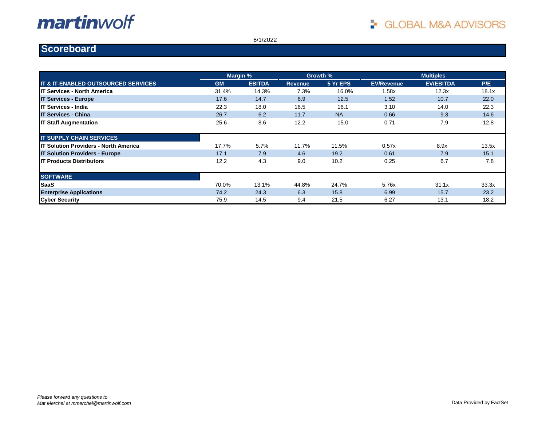6/1/2022

#### **Scoreboard**

|                                                |           | Margin %      |                | Growth %  |                   | <b>Multiples</b> |       |
|------------------------------------------------|-----------|---------------|----------------|-----------|-------------------|------------------|-------|
| <b>IT &amp; IT-ENABLED OUTSOURCED SERVICES</b> | <b>GM</b> | <b>EBITDA</b> | <b>Revenue</b> | 5 Yr EPS  | <b>EV/Revenue</b> | <b>EV/EBITDA</b> | P/E   |
| <b>IT Services - North America</b>             | 31.4%     | 14.3%         | 7.3%           | 16.0%     | 1.58x             | 12.3x            | 18.1x |
| <b>IT Services - Europe</b>                    | 17.6      | 14.7          | 6.9            | 12.5      | 1.52              | 10.7             | 22.0  |
| <b>IT Services - India</b>                     | 22.3      | 18.0          | 16.5           | 16.1      | 3.10              | 14.0             | 22.3  |
| <b>IT Services - China</b>                     | 26.7      | 6.2           | 11.7           | <b>NA</b> | 0.66              | 9.3              | 14.6  |
| <b>IT Staff Augmentation</b>                   | 25.6      | 8.6           | 12.2           | 15.0      | 0.71              | 7.9              | 12.8  |
| <b>IT SUPPLY CHAIN SERVICES</b>                |           |               |                |           |                   |                  |       |
| <b>IT Solution Providers - North America</b>   | 17.7%     | 5.7%          | 11.7%          | 11.5%     | 0.57x             | 8.9x             | 13.5x |
| <b>IT Solution Providers - Europe</b>          | 17.1      | 7.9           | 4.6            | 19.2      | 0.61              | 7.9              | 15.1  |
| <b>IT Products Distributors</b>                | 12.2      | 4.3           | 9.0            | 10.2      | 0.25              | 6.7              | 7.8   |
| <b>SOFTWARE</b>                                |           |               |                |           |                   |                  |       |
| <b>SaaS</b>                                    | 70.0%     | 13.1%         | 44.8%          | 24.7%     | 5.76x             | 31.1x            | 33.3x |
| <b>Enterprise Applications</b>                 | 74.2      | 24.3          | 6.3            | 15.8      | 6.99              | 15.7             | 23.2  |
| <b>Cyber Security</b>                          | 75.9      | 14.5          | 9.4            | 21.5      | 6.27              | 13.1             | 18.2  |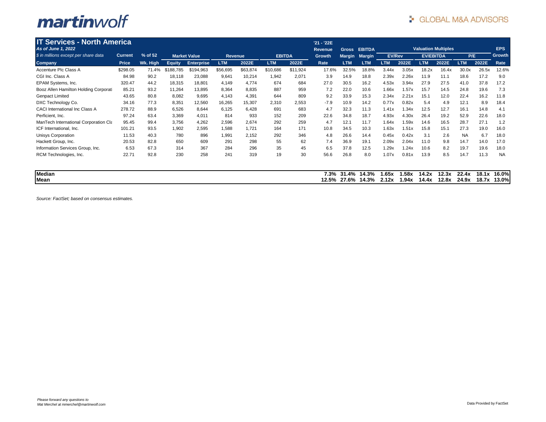| <b>IT Services - North America</b>    |                |           |               |                     |                |          |               |          | '21 - '22E     |               |               |               |       |                            |       |            |       |           |
|---------------------------------------|----------------|-----------|---------------|---------------------|----------------|----------|---------------|----------|----------------|---------------|---------------|---------------|-------|----------------------------|-------|------------|-------|-----------|
| As of June 1, 2022                    |                |           |               |                     |                |          |               |          | <b>Revenue</b> | <b>Gross</b>  | <b>EBITDA</b> |               |       | <b>Valuation Multiples</b> |       |            |       | EPS       |
| \$ in millions except per share data  | <b>Current</b> | $%$ of 52 |               | <b>Market Value</b> | <b>Revenue</b> |          | <b>EBITDA</b> |          | <b>Growth</b>  | <b>Margin</b> | <b>Margin</b> | <b>EV/Rev</b> |       | <b>EV/EBITDA</b>           |       | P/E        |       | Growth    |
| Company                               | Price          | Wk. High  | <b>Equity</b> | <b>Enterprise</b>   | <b>LTM</b>     | 2022E    | <b>LTM</b>    | 2022E    | Rate           | <b>LTM</b>    | <b>LTM</b>    | <b>LTM</b>    | 2022E | <b>LTM</b>                 | 2022E | <b>LTM</b> | 2022E | Rate      |
| Accenture Plc Class A                 | \$298.05       | 71.4%     | \$188,785     | \$194,963           | \$56,695       | \$63,874 | \$10,686      | \$11,924 | 17.6%          | 32.5%         | 18.8%         | 3.44x         | 3.05x | 18.2x                      | 16.4x | 30.0x      | 26.5x | 12.6%     |
| CGI Inc. Class A                      | 84.98          | 90.2      | 18,118        | 23,088              | 9,641          | 10,214   | 1,942         | 2,071    | 3.9            | 14.9          | 18.8          | 2.39x         | 2.26x | 11.9                       | 11.1  | 18.6       | 17.2  | 9.0       |
| EPAM Systems, Inc.                    | 320.47         | 44.2      | 18,315        | 18,801              | 4,149          | 4,774    | 674           | 684      | 27.0           | 30.5          | 16.2          | 4.53x         | 3.94x | 27.9                       | 27.5  | 41.0       | 37.8  | 17.2      |
| Booz Allen Hamilton Holding Corporati | 85.21          | 93.2      | 11,264        | 13,895              | 8,364          | 8,835    | 887           | 959      | 7.2            | 22.0          | 10.6          | 1.66x         | 1.57x | 15.7                       | 14.5  | 24.8       | 19.6  | 7.3       |
| <b>Genpact Limited</b>                | 43.65          | 80.8      | 8,082         | 9,695               | 4,143          | 4,391    | 644           | 809      | 9.2            | 33.9          | 15.3          | 2.34x         | 2.21x | 15.1                       | 12.0  | 22.4       | 16.2  | 11.8      |
| DXC Technology Co.                    | 34.16          | 77.3      | 8,351         | 12,560              | 16,265         | 15,307   | 2,310         | 2,553    | $-7.9$         | 10.9          | 14.2          | 0.77x         | 0.82x | 5.4                        | 4.9   | 12.1       | 8.9   | 18.4      |
| <b>CACI International Inc Class A</b> | 278.72         | 88.9      | 6,526         | 8,644               | 6,125          | 6,428    | 691           | 683      | 4.7            | 32.3          | 11.3          | 1.41x         | 1.34x | 12.5                       | 12.7  | 16.1       | 14.8  | 4.1       |
| Perficient, Inc.                      | 97.24          | 63.4      | 3,369         | 4,011               | 814            | 933      | 152           | 209      | 22.6           | 34.8          | 18.7          | 4.93x         | 4.30x | 26.4                       | 19.2  | 52.9       | 22.6  | 18.0      |
| ManTech International Corporation Cla | 95.45          | 99.4      | 3,756         | 4,262               | 2,596          | 2,674    | 292           | 259      | 4.7            | 12.1          | 11.7          | 1.64x         | 1.59x | 14.6                       | 16.5  | 28.7       | 27.1  | 1.2       |
| ICF International, Inc.               | 101.21         | 93.5      | 1,902         | 2,595               | 1,588          | 1,721    | 164           | 171      | 10.8           | 34.5          | 10.3          | 1.63x         | 1.51x | 15.8                       | 15.1  | 27.3       | 19.0  | 16.0      |
| Unisys Corporation                    | 11.53          | 40.3      | 780           | 896                 | 1,991          | 2,152    | 292           | 346      | 4.8            | 26.6          | 14.4          | 0.45x         | 0.42x | 3.1                        | 2.6   | <b>NA</b>  | 6.7   | 18.0      |
| Hackett Group, Inc.                   | 20.53          | 82.8      | 650           | 609                 | 291            | 298      | 55            | 62       | 7.4            | 36.9          | 19.1          | 2.09x         | 2.04x | 11.0                       | 9.8   | 14.7       | 14.0  | 17.0      |
| Information Services Group, Inc.      | 6.53           | 67.3      | 314           | 367                 | 284            | 296      | 35            | 45       | 6.5            | 37.8          | 12.5          | 1.29x         | 1.24x | 10.6                       | 8.2   | 19.7       | 19.6  | 18.0      |
| RCM Technologies, Inc.                | 22.71          | 92.8      | 230           | 258                 | 241            | 319      | 19            | 30       | 56.6           | 26.8          | 8.0           | 1.07x         | 0.81x | 13.9                       | 8.5   | 14.7       | 11.3  | <b>NA</b> |
|                                       |                |           |               |                     |                |          |               |          |                |               |               |               |       |                            |       |            |       |           |
| <b>Median</b>                         |                |           |               |                     |                |          |               |          | 7.3%           | 31.4%         | 14.3%         | I.65x         | 1.58x | 14.2x                      | 12.3x | 22.4x      | 18.1x | 16.0%     |
| Mean                                  |                |           |               |                     |                |          |               |          | 12.5%          | 27.6%         | 14.3%         | 2.12x         | 1.94x | 14.4x                      | 12.8x | 24.9x      | 18.7x | 13.0%     |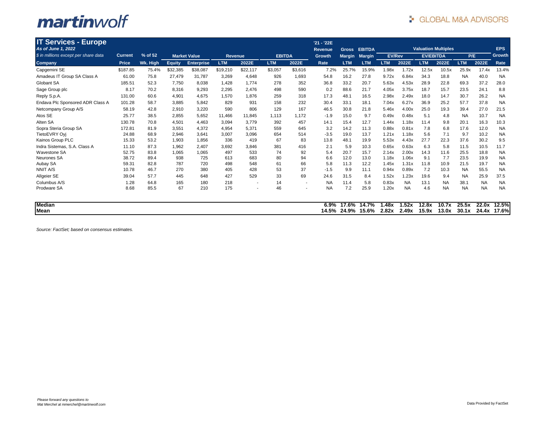| <b>IT Services - Europe</b>          |                |          |               |                     |                |          |               |                          | '21 - '22E     |               |               |               |           |                  |                            |            |           |            |
|--------------------------------------|----------------|----------|---------------|---------------------|----------------|----------|---------------|--------------------------|----------------|---------------|---------------|---------------|-----------|------------------|----------------------------|------------|-----------|------------|
| As of June 1, 2022                   |                |          |               |                     |                |          |               |                          | <b>Revenue</b> | Gross         | <b>EBITDA</b> |               |           |                  | <b>Valuation Multiples</b> |            |           | <b>EPS</b> |
| \$ in millions except per share data | <b>Current</b> | % of 52  |               | <b>Market Value</b> | <b>Revenue</b> |          | <b>EBITDA</b> |                          | <b>Growth</b>  | <b>Margin</b> | <b>Margin</b> | <b>EV/Rev</b> |           | <b>EV/EBITDA</b> |                            | P/E        |           | Growth     |
| Company                              | Price          | Wk. High | <b>Equity</b> | <b>Enterprise</b>   | <b>LTM</b>     | 2022E    | <b>LTM</b>    | 2022E                    | Rate           | <b>LTM</b>    | <b>LTM</b>    | <b>LTM</b>    | 2022E     | <b>LTM</b>       | 2022E                      | <b>LTM</b> | 2022E     | Rate       |
| Capgemini SE                         | \$187.85       | 75.4%    | \$32,385      | \$38,087            | \$19,210       | \$22,117 | \$3,057       | \$3,616                  | 7.2%           | 25.7%         | 15.9%         | 1.98x         | 1.72x     | 12.5x            | 10.5x                      | 25.9x      | 17.4x     | 13.4%      |
| Amadeus IT Group SA Class A          | 61.00          | 75.8     | 27,479        | 31,787              | 3,269          | 4,648    | 926           | 1,693                    | 54.8           | 16.2          | 27.8          | 9.72x         | 6.84x     | 34.3             | 18.8                       | <b>NA</b>  | 40.0      | <b>NA</b>  |
| Globant SA                           | 185.51         | 52.3     | 7,750         | 8,038               | 1,428          | 1,774    | 278           | 352                      | 36.8           | 33.2          | 20.7          | 5.63x         | 4.53x     | 28.9             | 22.8                       | 69.3       | 37.2      | 28.0       |
| Sage Group plc                       | 8.17           | 70.2     | 8,316         | 9,293               | 2,295          | 2,476    | 498           | 590                      | 0.2            | 88.6          | 21.7          | 4.05x         | 3.75x     | 18.7             | 15.7                       | 23.5       | 24.1      | 8.8        |
| Reply S.p.A.                         | 131.00         | 60.6     | 4,901         | 4,675               | 1,570          | 1,876    | 259           | 318                      | 17.3           | 48.1          | 16.5          | 2.98x         | 2.49x     | 18.0             | 14.7                       | 30.7       | 26.2      | <b>NA</b>  |
| Endava Plc Sponsored ADR Class A     | 101.28         | 58.7     | 3,885         | 5,842               | 829            | 931      | 158           | 232                      | 30.4           | 33.1          | 18.1          | 7.04x         | 6.27x     | 36.9             | 25.2                       | 57.7       | 37.8      | <b>NA</b>  |
| Netcompany Group A/S                 | 58.19          | 42.8     | 2,910         | 3,220               | 590            | 806      | 129           | 167                      | 46.5           | 30.8          | 21.8          | 5.46x         | 4.00x     | 25.0             | 19.3                       | 39.4       | 27.0      | 21.5       |
| Atos SE                              | 25.77          | 38.5     | 2,855         | 5,652               | 11,466         | 11,845   | 1.113         | 1.172                    | $-1.9$         | 15.0          | 9.7           | 0.49x         | 0.48x     | 5.1              | 4.8                        | <b>NA</b>  | 10.7      | <b>NA</b>  |
| Alten SA                             | 130.78         | 70.8     | 4,501         | 4,463               | 3,094          | 3,779    | 392           | 457                      | 14.1           | 15.4          | 12.7          | 1.44x         | 1.18x     | 11.4             | 9.8                        | 20.1       | 16.3      | 10.3       |
| Sopra Steria Group SA                | 172.81         | 81.9     | 3,551         | 4,372               | 4,954          | 5,371    | 559           | 645                      | 3.2            | 14.2          | 11.3          | 0.88x         | 0.81x     | 7.8              | 6.8                        | 17.6       | 12.0      | <b>NA</b>  |
| TietoEVRY Ovi                        | 24.88          | 68.9     | 2,946         | 3,641               | 3,007          | 3,096    | 654           | 514                      | $-3.5$         | 19.0          | 13.7          | 1.21x         | 1.18x     | 5.6              | 7.1                        | 9.7        | 10.2      | <b>NA</b>  |
| Kainos Group PLC                     | 15.33          | 53.2     | 1,903         | 1,856               | 336            | 419      | 67            | 83                       | 13.8           | 48.1          | 19.9          | 5.53x         | 4.43x     | 27.7             | 22.3                       | 37.6       | 30.2      | 9.5        |
| Indra Sistemas, S.A. Class A         | 11.10          | 87.3     | 1.962         | 2.407               | 3.692          | 3.846    | 381           | 416                      | 2.1            | 5.9           | 10.3          | 0.65x         | 0.63x     | 6.3              | 5.8                        | 11.5       | 10.5      | 11.7       |
| <b>Wavestone SA</b>                  | 52.75          | 83.8     | 1,065         | 1,065               | 497            | 533      | 74            | 92                       | 5.4            | 20.7          | 15.7          | 2.14x         | 2.00x     | 14.3             | 11.6                       | 25.5       | 18.8      | <b>NA</b>  |
| Neurones SA                          | 38.72          | 89.4     | 938           | 725                 | 613            | 683      | 80            | 94                       | 6.6            | 12.0          | 13.0          | 1.18x         | 1.06x     | 9.1              | 7.7                        | 23.5       | 19.9      | <b>NA</b>  |
| Aubay SA                             | 59.31          | 82.8     | 787           | 720                 | 498            | 548      | 61            | 66                       | 5.8            | 11.3          | 12.2          | 1.45x         | 1.31x     | 11.8             | 10.9                       | 21.5       | 19.7      | <b>NA</b>  |
| <b>NNIT A/S</b>                      | 10.78          | 46.7     | 270           | 380                 | 405            | 428      | 53            | 37                       | $-1.5$         | 9.9           | 11.1          | 0.94x         | 0.89x     | 7.2              | 10.3                       | <b>NA</b>  | 55.5      | <b>NA</b>  |
| Allgeier SE                          | 39.04          | 57.7     | 445           | 648                 | 427            | 529      | 33            | 69                       | 24.6           | 31.5          | 8.4           | 1.52x         | 1.23x     | 19.6             | 9.4                        | <b>NA</b>  | 25.9      | 37.5       |
| Columbus A/S                         | 1.28           | 64.8     | 165           | 180                 | 218            |          | 14            | $\overline{\phantom{a}}$ | <b>NA</b>      | 11.4          | 5.8           | 0.83x         | <b>NA</b> | 13.1             | <b>NA</b>                  | 38.1       | <b>NA</b> | <b>NA</b>  |
| Prodware SA                          | 8.68           | 85.5     | 67            | 210                 | 175            |          | 46            | ٠                        | <b>NA</b>      | 7.2           | 25.9          | 1.20x         | <b>NA</b> | 4.6              | <b>NA</b>                  | <b>NA</b>  | <b>NA</b> | <b>NA</b>  |
| <b>Median</b>                        |                |          |               |                     |                |          |               |                          | 6.9%           | 17.6%         | 14.7%         | .48x          | 1.52x     | 12.8x            | 10.7x                      | 25.5x      | 22.0x     | 12.5%      |
| Mean                                 |                |          |               |                     |                |          |               |                          | 14.5%          |               | 24.9% 15.6%   | 2.82x         | 2.49x     | 15.9x            | 13.0x                      | 30.1x      | 24.4x     | 17.6%l     |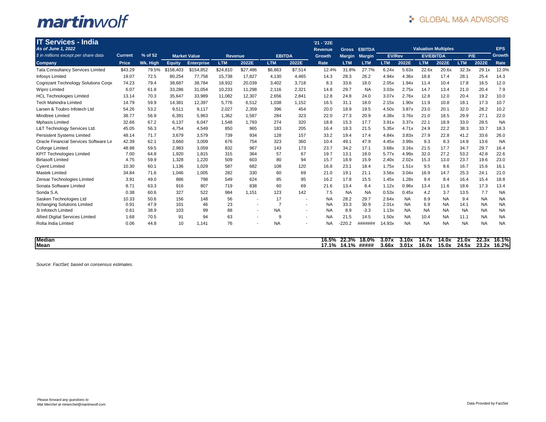| <b>IT Services - India</b><br>As of June 1, 2022 |                |          |           |                     |                |                          |                |                          | '21 - '22E<br><b>Revenue</b> | <b>Gross</b>   | <b>EBITDA</b>  |                |                |                  | <b>Valuation Multiples</b> |                |                | <b>EPS</b>     |
|--------------------------------------------------|----------------|----------|-----------|---------------------|----------------|--------------------------|----------------|--------------------------|------------------------------|----------------|----------------|----------------|----------------|------------------|----------------------------|----------------|----------------|----------------|
| \$ in millions except per share data             | <b>Current</b> | % of 52  |           | <b>Market Value</b> | <b>Revenue</b> |                          | <b>EBITDA</b>  |                          | <b>Growth</b>                | <b>Margin</b>  | <b>Margin</b>  | <b>EV/Rev</b>  |                | <b>EV/EBITDA</b> |                            | P/E            |                | <b>Growth</b>  |
| Company                                          | Price          | Wk. High | Equity    | <b>Enterprise</b>   | <b>LTM</b>     | 2022E                    | <b>LTM</b>     | 2022E                    | Rate                         | <b>LTM</b>     | <b>LTM</b>     | <b>LTM</b>     | 2022E          | <b>LTM</b>       | 2022E                      | <b>LTM</b>     | 2022E          | Rate           |
| <b>Tata Consultancy Services Limited</b>         | \$43.29        | 79.5%    | \$158.403 | \$154.852           | \$24,810       | \$27.486                 | \$6.863        | \$7.514                  | 12.4%                        | 31.8%          | 27.7%          | 6.24x          | 5.63x          | 22.6x            | 20.6x                      | 32.3x          | 29.1x          | 12.0%          |
| Infosys Limited                                  | 19.07          | 72.5     | 80,254    | 77,758              | 15,738         | 17,827                   | 4,130          | 4,465                    | 14.3                         | 28.3           | 26.2           | 4.94x          | 4.36x          | 18.8             | 17.4                       | 28.1           | 25.4           | 14.3           |
| Cognizant Technology Solutions Corpo             | 74.23          | 79.4     | 38,687    | 38,784              | 18,932         | 20,039                   | 3,402          | 3,718                    | 8.3                          | 33.6           | 18.0           | 2.05x          | 1.94x          | 11.4             | 10.4                       | 17.8           | 16.5           | 12.0           |
| <b>Wipro Limited</b>                             | 6.07           | 61.8     | 33,286    | 31,054              | 10,233         | 11,298                   | 2,116          | 2,321                    | 14.8                         | 29.7           | <b>NA</b>      | 3.03x          | 2.75x          | 14.7             | 13.4                       | 21.0           | 20.4           | 7.9            |
| <b>HCL Technologies Limited</b>                  | 13.14          | 70.3     | 35,647    | 33,989              | 11,082         | 12,307                   | 2,656          | 2,841                    | 12.8                         | 24.8           | 24.0           | 3.07x          | 2.76x          | 12.8             | 12.0                       | 20.4           | 19.2           | 10.0           |
| <b>Tech Mahindra Limited</b>                     | 14.79          | 59.9     | 14,381    | 12,397              | 5,776          | 6,512                    | 1,038          | 1,152                    | 16.5                         | 31.1           | 18.0           | 2.15x          | 1.90x          | 11.9             | 10.8                       | 18.1           | 17.3           | 10.7           |
| Larsen & Toubro Infotech Ltd                     | 54.26          | 53.2     | 9,511     | 9,117               | 2,027          | 2,359                    | 396            | 454                      | 20.0                         | 18.9           | 19.5           | 4.50x          | 3.87x          | 23.0             | 20.1                       | 32.0           | 28.2           | 10.2           |
| Mindtree Limited                                 | 38.77          | 56.9     | 6,391     | 5,963               | 1,362          | 1,587                    | 284            | 323                      | 22.0                         | 27.3           | 20.9           | 4.38x          | 3.76x          | 21.0             | 18.5                       | 29.9           | 27.1           | 22.0           |
| <b>Mphasis Limited</b>                           | 32.66          | 67.2     | 6.137     | 6,047               | 1,548          | 1,793                    | 274            | 320                      | 18.8                         | 15.3           | 17.7           | 3.91x          | 3.37x          | 22.1             | 18.9                       | 33.0           | 28.5           | <b>NA</b>      |
| L&T Technology Services Ltd.                     | 45.05          | 56.3     | 4,754     | 4,549               | 850            | 965                      | 183            | 205                      | 16.4                         | 18.3           | 21.5           | 5.35x          | 4.71x          | 24.9             | 22.2                       | 38.3           | 33.7           | 18.3           |
| <b>Persistent Systems Limited</b>                | 48.14          | 71.7     | 3,679     | 3,579               | 739            | 934                      | 128            | 157                      | 33.2                         | 19.4           | 17.4           | 4.84x          | 3.83x          | 27.9             | 22.8                       | 41.2           | 33.6           | 26.0           |
| Oracle Financial Services Software Lir           | 42.39          | 62.1     | 3,660     | 3,009               | 676            | 754                      | 323            | 360                      | 10.4                         | 49.1           | 47.9           | 4.45x          | 3.99x          | 9.3              | 8.3                        | 14.9           | 13.6           | <b>NA</b>      |
| Coforge Limited                                  | 48.98          | 59.5     | 2,983     | 3,059               | 832            | 967                      | 143            | 173                      | 23.7                         | 34.2           | 17.1           | 3.68x          | 3.16x          | 21.5             | 17.7                       | 34.7           | 29.7           | 16.4           |
| <b>KPIT Technologies Limited</b>                 | 7.00           | 64.8     | 1,920     | 1,815               | 315            | 364                      | 57             | 67                       | 19.7                         | 13.1           | 18.0           | 5.77x          | 4.99x          | 32.0             | 27.2                       | 53.2           | 42.8           | 22.6           |
| <b>Birlasoft Limited</b>                         | 4.75           | 59.9     | 1,328     | 1,220               | 509            | 603                      | 80             | 94                       | 15.7                         | 18.9           | 15.9           | 2.40x          | 2.02x          | 15.3             | 13.0                       | 23.7           | 19.6           | 23.0           |
| <b>Cyient Limited</b>                            | 10.30          | 60.1     | 1.136     | 1,029               | 587            | 682                      | 108            | 120                      | 16.8                         | 23.1           | 18.4           | 1.75x          | 1.51x          | 9.5              | 8.6                        | 16.7           | 15.6           | 16.1           |
| <b>Mastek Limited</b>                            | 34.84          | 71.6     | 1,046     | 1,005               | 282            | 330                      | 60             | 69                       | 21.0                         | 19.1           | 21.1           | 3.56x          | 3.04x          | 16.9             | 14.7                       | 25.3           | 24.1           | 21.0           |
| Zensar Technologies Limited                      | 3.91           | 49.0     | 886       | 798                 | 549            | 624                      | 85             | 95                       | 16.2                         | 17.8           | 15.5           | 1.45x          | 1.28x          | 9.4              | 8.4                        | 16.4           | 15.4           | 18.8           |
| Sonata Software Limited                          | 8.71           | 63.3     | 916       | 807                 | 719            | 838                      | 60             | 69                       | 21.6                         | 13.4           | 8.4            | 1.12x          | 0.96x          | 13.4             | 11.6                       | 18.6           | 17.3           | 13.4           |
| Sonda S.A.                                       | 0.38           | 60.6     | 327       | 522                 | 984            | 1.151                    | 123            | 142                      | 7.5                          | <b>NA</b>      | <b>NA</b>      | 0.53x          | 0.45x          | 4.2              | 3.7                        | 13.5           | 7.7            | <b>NA</b>      |
| Sasken Technologies Ltd                          | 10.33          | 50.6     | 156       | 148                 | 56             | $\overline{\phantom{a}}$ | 17             | $\blacksquare$           | <b>NA</b>                    | 28.2           | 29.7           | 2.64x          | <b>NA</b>      | 8.9              | <b>NA</b>                  | 9.4            | <b>NA</b>      | <b>NA</b>      |
| Xchanging Solutions Limited                      | 0.91           | 47.9     | 101       | 46                  | 23             | $\sim$                   | $\overline{7}$ | $\overline{\phantom{a}}$ | <b>NA</b>                    | 33.3           | 30.9           | 2.01x          | <b>NA</b>      | 6.9              | <b>NA</b>                  | 14.1           | <b>NA</b>      | <b>NA</b>      |
| 3i Infotech Limited                              | 0.61           | 38.9     | 103       | 99                  | 88             | $\sim$                   | <b>NA</b>      | $\blacksquare$           | <b>NA</b>                    | 8.9            | $-3.3$         | 1.13x          | <b>NA</b>      | <b>NA</b>        | NA                         | <b>NA</b>      | <b>NA</b>      | <b>NA</b>      |
| <b>Allied Digital Services Limited</b>           | 1.68           | 70.5     | 91        | 94                  | 63             | $\overline{\phantom{a}}$ | 9              | $\overline{\phantom{a}}$ | <b>NA</b>                    | 21.5           | 14.5           | 1.50x          | <b>NA</b>      | 10.4             | <b>NA</b>                  | 11.1           | <b>NA</b>      | <b>NA</b>      |
| Rolta India Limited                              | 0.06           | 44.8     | 10        | 1,141               | 76             | ٠                        | <b>NA</b>      |                          | <b>NA</b>                    | $-220.2$       | #######        | 14.93x         | <b>NA</b>      | <b>NA</b>        | <b>NA</b>                  | <b>NA</b>      | <b>NA</b>      | <b>NA</b>      |
| <b>Median</b><br>Mean                            |                |          |           |                     |                |                          |                |                          | 16.5%<br>17.1%               | 22.3%<br>14.1% | 18.0%<br>##### | 3.07x<br>3.66x | 3.10x<br>3.01x | 14.7x<br>16.0x   | 14.0x<br>15.0x             | 21.0x<br>24.5x | 22.3x<br>23.2x | 16.1%<br>16.2% |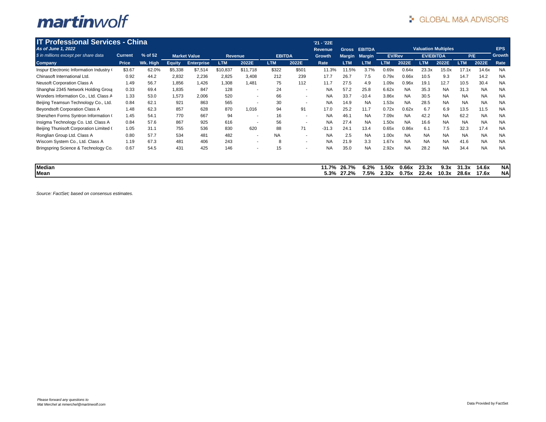| <b>IT Professional Services - China</b>  |                |          |               |                     |                |                          |               |                          | '21 - '22E |               |               |               |           |                            |           |            |           |            |
|------------------------------------------|----------------|----------|---------------|---------------------|----------------|--------------------------|---------------|--------------------------|------------|---------------|---------------|---------------|-----------|----------------------------|-----------|------------|-----------|------------|
| As of June 1, 2022                       |                |          |               |                     |                |                          |               |                          | Revenue    | <b>Gross</b>  | <b>EBITDA</b> |               |           | <b>Valuation Multiples</b> |           |            |           | EPS        |
| \$ in millions except per share data     | <b>Current</b> | % of 52  |               | <b>Market Value</b> | <b>Revenue</b> |                          | <b>EBITDA</b> |                          | Growth     | <b>Margin</b> | <b>Margin</b> | <b>EV/Rev</b> |           | <b>EV/EBITDA</b>           |           | P/E        |           | Growth     |
| <b>Company</b>                           | Price          | Wk. High | <b>Equity</b> | <b>Enterprise</b>   | <b>LTM</b>     | 2022E                    | <b>LTM</b>    | 2022E                    | Rate       | <b>LTM</b>    | <b>LTM</b>    | <b>LTM</b>    | 2022E     | <b>LTM</b>                 | 2022E     | <b>LTM</b> | 2022E     | Rate       |
| Inspur Electronic Information Industry ( | \$3.67         | 62.0%    | \$5,338       | \$7,514             | \$10,837       | \$11,718                 | \$322         | \$501                    | 11.3%      | 11.5%         | 3.7%          | 0.69x         | 0.64x     | 23.3x                      | 15.0x     | 17.1x      | 14.6x     | <b>NA</b>  |
| Chinasoft International Ltd.             | 0.92           | 44.2     | 2,832         | 2,236               | 2,825          | 3,408                    | 212           | 239                      | 17.7       | 26.7          | 7.5           | 0.79x         | 0.66x     | 10.5                       | 9.3       | 14.7       | 14.2      | <b>NA</b>  |
| <b>Neusoft Corporation Class A</b>       | 1.49           | 56.7     | 1,856         | 1,426               | 1,308          | 1.481                    | 75            | 112                      | 11.7       | 27.5          | 4.9           | 1.09x         | 0.96x     | 19.1                       | 12.7      | 10.5       | 30.4      | <b>NA</b>  |
| Shanghai 2345 Network Holding Group      | 0.33           | 69.4     | 1,835         | 847                 | 128            | $\overline{\phantom{a}}$ | 24            | $\blacksquare$           | <b>NA</b>  | 57.2          | 25.8          | 6.62x         | <b>NA</b> | 35.3                       | <b>NA</b> | 31.3       | <b>NA</b> | <b>NA</b>  |
| Wonders Information Co., Ltd. Class A    | 1.33           | 53.0     | 1,573         | 2,006               | 520            | $\overline{\phantom{a}}$ | 66            | $\overline{\phantom{a}}$ | <b>NA</b>  | 33.7          | $-10.4$       | 3.86x         | <b>NA</b> | 30.5                       | <b>NA</b> | <b>NA</b>  | <b>NA</b> | <b>NA</b>  |
| Beijing Teamsun Technology Co., Ltd.     | 0.84           | 62.1     | 921           | 863                 | 565            | ۰.                       | 30            | $\blacksquare$           | <b>NA</b>  | 14.9          | <b>NA</b>     | 1.53x         | <b>NA</b> | 28.5                       | <b>NA</b> | <b>NA</b>  | <b>NA</b> | <b>NA</b>  |
| <b>Beyondsoft Corporation Class A</b>    | 1.48           | 62.3     | 857           | 628                 | 870            | 1,016                    | 94            | 91                       | 17.0       | 25.2          | 11.7          | 0.72x         | 0.62x     | 6.7                        | 6.9       | 13.5       | 11.5      | <b>NA</b>  |
| Shenzhen Forms Syntron Information (     | 1.45           | 54.1     | 770           | 667                 | 94             | ۰.                       | 16            | $\blacksquare$           | <b>NA</b>  | 46.7          | <b>NA</b>     | 7.09x         | <b>NA</b> | 42.2                       | <b>NA</b> | 62.2       | <b>NA</b> | <b>NA</b>  |
| Insigma Technology Co. Ltd. Class A      | 0.84           | 57.6     | 867           | 925                 | 616            |                          | 56            | $\blacksquare$           | <b>NA</b>  | 27.4          | <b>NA</b>     | 1.50x         | <b>NA</b> | 16.6                       | <b>NA</b> | <b>NA</b>  | <b>NA</b> | <b>NA</b>  |
| Beijing Thunisoft Corporation Limited (  | 1.05           | 31.1     | 755           | 536                 | 830            | 620                      | 88            | 71                       | $-31.3$    | 24.1          | 13.4          | 0.65x         | 0.86x     | 6.1                        | 7.5       | 32.3       | 17.4      | <b>NA</b>  |
| Ronglian Group Ltd. Class A              | 0.80           | 57.7     | 534           | 481                 | 482            | $\overline{\phantom{a}}$ | <b>NA</b>     | $\blacksquare$           | <b>NA</b>  | 2.5           | <b>NA</b>     | 1.00x         | <b>NA</b> | <b>NA</b>                  | <b>NA</b> | <b>NA</b>  | <b>NA</b> | <b>NA</b>  |
| Wiscom System Co., Ltd. Class A          | 1.19           | 67.3     | 481           | 406                 | 243            | $\sim$                   | 8             | $\overline{\phantom{a}}$ | <b>NA</b>  | 21.9          | 3.3           | 1.67x         | <b>NA</b> | <b>NA</b>                  | <b>NA</b> | 41.6       | <b>NA</b> | <b>NA</b>  |
| Bringspring Science & Technology Co.     | 0.67           | 54.5     | 431           | 425                 | 146            | $\overline{\phantom{a}}$ | 15            | $\overline{\phantom{a}}$ | <b>NA</b>  | 35.0          | <b>NA</b>     | 2.92x         | <b>NA</b> | 28.2                       | <b>NA</b> | 34.4       | <b>NA</b> | <b>NA</b>  |
| <b>Median</b>                            |                |          |               |                     |                |                          |               |                          | 11.7%      | 26.7%         | 6.2%          | 1.50x         | 0.66x     | 23.3x                      | 9.3x      | 31.3x      | 14.6x     | <b>NAI</b> |
| Mean                                     |                |          |               |                     |                |                          |               |                          | 5.3%       | 27.2%         | 7.5%          | 2.32x         | 0.75x     | 22.4x                      | 10.3x     | 28.6x      | 17.6x     | <b>NA</b>  |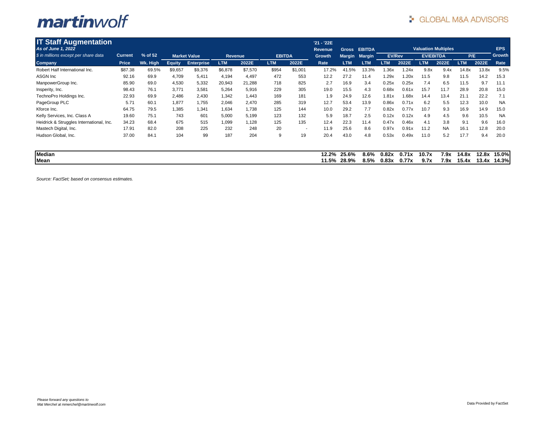| <b>IT Staff Augmentation</b>             |                |          |               |                     |            |         |               |                          | '21 - '22E |               |               |               |       |                  |                            |            |       |               |
|------------------------------------------|----------------|----------|---------------|---------------------|------------|---------|---------------|--------------------------|------------|---------------|---------------|---------------|-------|------------------|----------------------------|------------|-------|---------------|
| As of June 1, 2022                       |                |          |               |                     |            |         |               |                          | Revenue    | <b>Gross</b>  | <b>EBITDA</b> |               |       |                  | <b>Valuation Multiples</b> |            |       | <b>EPS</b>    |
| \$ in millions except per share data     | <b>Current</b> | % of 52  |               | <b>Market Value</b> | Revenue    |         | <b>EBITDA</b> |                          | Growth     | <b>Margin</b> | <b>Margin</b> | <b>EV/Rev</b> |       | <b>EV/EBITDA</b> |                            | P/E        |       | <b>Growth</b> |
| <b>Company</b>                           | Price          | Wk. High | <b>Equity</b> | <b>Enterprise</b>   | <b>LTM</b> | 2022E   | <b>LTM</b>    | 2022E                    | Rate       | <b>LTM</b>    | <b>LTM</b>    | <b>LTM</b>    | 2022E | <b>LTM</b>       | 2022E                      | <b>LTM</b> | 2022E | Rate          |
| Robert Half International Inc.           | \$87.38        | 69.5%    | \$9,657       | \$9,376             | \$6,878    | \$7,570 | \$954         | \$1,001                  | 17.2%      | 41.5%         | 13.3%         | 1.36x         | 1.24x | 9.8x             | 9.4x                       | 14.8x      | 13.8x | 9.5%          |
| <b>ASGN Inc</b>                          | 92.16          | 69.9     | 4,709         | 5,411               | 4,194      | 4,497   | 472           | 553                      | 12.2       | 27.2          | 11.4          | 1.29x         | 1.20x | 11.5             | 9.8                        | 11.5       | 14.2  | 15.3          |
| ManpowerGroup Inc.                       | 85.90          | 69.0     | 4,530         | 5,332               | 20,943     | 21,288  | 718           | 825                      | 2.7        | 16.9          | 3.4           | 0.25x         | 0.25x | 7.4              | 6.5                        | 11.5       | 9.7   | 11.1          |
| Insperity, Inc.                          | 98.43          | 76.1     | 3,771         | 3,581               | 5,264      | 5,916   | 229           | 305                      | 19.0       | 15.5          | 4.3           | 0.68x         | 0.61x | 15.7             | 11.7                       | 28.9       | 20.8  | 15.0          |
| TechnoPro Holdings Inc.                  | 22.93          | 69.9     | 2,486         | 2,430               | 1,342      | 1.443   | 169           | 181                      | 1.9        | 24.9          | 12.6          | 1.81x         | 1.68x | 14.4             | 13.4                       | 21.1       | 22.2  | 7.1           |
| PageGroup PLC                            | 5.71           | 60.1     | 1,877         | 1,755               | 2,046      | 2,470   | 285           | 319                      | 12.7       | 53.4          | 13.9          | 0.86x         | 0.71x | 6.2              | 5.5                        | 12.3       | 10.0  | <b>NA</b>     |
| Kforce Inc.                              | 64.75          | 79.5     | 1,385         | 1,341               | 1,634      | 1,738   | 125           | 144                      | 10.0       | 29.2          | 7.7           | 0.82x         | 0.77x | 10.7             | 9.3                        | 16.9       | 14.9  | 15.0          |
| Kelly Services, Inc. Class A             | 19.60          | 75.1     | 743           | 601                 | 5,000      | 5,199   | 123           | 132                      | 5.9        | 18.7          | 2.5           | 0.12x         | 0.12x | 4.9              | 4.5                        | 9.6        | 10.5  | <b>NA</b>     |
| Heidrick & Struggles International, Inc. | 34.23          | 68.4     | 675           | 515                 | 1,099      | 1,128   | 125           | 135                      | 12.4       | 22.3          | 11.4          | 0.47x         | 0.46x | 4.1              | 3.8                        | 9.1        | 9.6   | 16.0          |
| Mastech Digital, Inc.                    | 17.91          | 82.0     | 208           | 225                 | 232        | 248     | 20            | $\overline{\phantom{a}}$ | 11.9       | 25.6          | 8.6           | 0.97x         | 0.91x | 11.2             | <b>NA</b>                  | 16.1       | 12.8  | 20.0          |
| Hudson Global, Inc.                      | 37.00          | 84.1     | 104           | 99                  | 187        | 204     | 9             | 19                       | 20.4       | 43.0          | 4.8           | 0.53x         | 0.49x | 11.0             | 5.2                        | 17.7       | 9.4   | 20.0          |
| <b>Median</b>                            |                |          |               |                     |            |         |               |                          | 12.2%      | 25.6%         | 8.6%          | 0.82x         | 0.71x | 10.7x            | 7.9x                       | 14.8x      | 12.8x | 15.0%         |
| Mean                                     |                |          |               |                     |            |         |               |                          | 11.5%      | 28.9%         | 8.5%          | 0.83x         | 0.77x | 9.7x             | 7.9x                       | 15.4x      | 13.4x | <b>14.3%</b>  |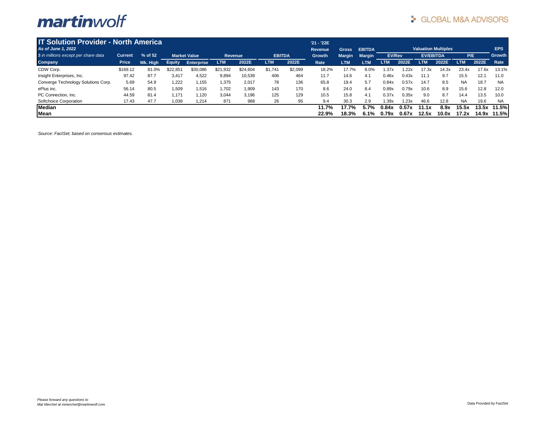| <b>IT Solution Provider - North America</b> |              |          |               |                     |            |          |               |         | $'21 - '22E$  |               |               |               |       |                  |                            |            |       |               |
|---------------------------------------------|--------------|----------|---------------|---------------------|------------|----------|---------------|---------|---------------|---------------|---------------|---------------|-------|------------------|----------------------------|------------|-------|---------------|
| As of June 1, 2022                          |              |          |               |                     |            |          |               |         | Revenue       | <b>Gross</b>  | <b>EBITDA</b> |               |       |                  | <b>Valuation Multiples</b> |            |       | EPS           |
| \$ in millions except per share data        | Current      | % of 52  |               | <b>Market Value</b> | Revenue    |          | <b>EBITDA</b> |         | <b>Growth</b> | <b>Margin</b> | <b>Margin</b> | <b>EV/Rev</b> |       | <b>EV/EBITDA</b> |                            | P/E        |       | <b>Growth</b> |
| Company                                     | <b>Price</b> | Wk. High | <b>Equity</b> | <b>Enterprise</b>   | <b>LTM</b> | 2022E    | <b>LTM</b>    | 2022E   | Rate          | <b>LTM</b>    | <b>LTM</b>    | <b>LTM</b>    | 2022E | <b>LTM</b>       | 2022E                      | <b>LTM</b> | 2022E | Rate          |
| CDW Corp.                                   | \$169.12     | 81.0%    | \$22,851      | \$30,086            | \$21,932   | \$24,604 | \$1,741       | \$2,099 | 18.2%         | 17.7%         | 8.0%          | 1.37x         | 1.22x | 17.3x            | 14.3x                      | 23.4x      | 17.6x | 13.1%         |
| Insight Enterprises, Inc.                   | 97.42        | 87.7     | 3.417         | 4.522               | 9,894      | 10,539   | 406           | 464     | 11.7          | 14.6          | 4.1           | 0.46x         | 0.43x | 11.1             | 9.7                        | 15.5       | 12.1  | 11.0          |
| Converge Technology Solutions Corp.         | 5.69         | 54.9     | 1,222         | 1,155               | 1,375      | 2,017    | 78            | 136     | 65.8          | 19.4          | 5.7           | 0.84x         | 0.57x | 14.7             | 8.5                        | <b>NA</b>  | 18.7  | <b>NA</b>     |
| ePlus inc.                                  | 56.14        | 80.5     | 1,509         | 1,516               | 1,702      | 1,909    | 143           | 170     | 8.6           | 24.0          | 8.4           | 0.89x         | 0.79x | 10.6             | 8.9                        | 15.6       | 12.8  | 12.0          |
| PC Connection, Inc.                         | 44.59        | 81.4     | 1.171         | 1,120               | 3,044      | 3,196    | 125           | 129     | 10.5          | 15.8          | 4.1           | 0.37x         | 0.35x | 9.0              | 8.7                        | 14.4       | 13.5  | 10.0          |
| Softchoice Corporation                      | 17.43        | 47.7     | 1,038         | 1,214               | 871        | 988      | 26            | 95      | 9.4           | 30.3          | 2.9           | 1.39x         | 1.23x | 46.6             | 12.8                       | <b>NA</b>  | 19.6  | <b>NA</b>     |
| <b>Median</b>                               |              |          |               |                     |            |          |               |         | 11.7%         | 17.7%         | 5.7%          | 0.84x         | 0.57x | 11.1x            | 8.9x                       | 15.5x      | 13.5x | 11.5%         |
| Mean                                        |              |          |               |                     |            |          |               |         | 22.9%         | 18.3%         | 6.1%          | 0.79x         | 0.67x | 12.5x            | 10.0x                      | 17.2x      |       | 14.9x 11.5%   |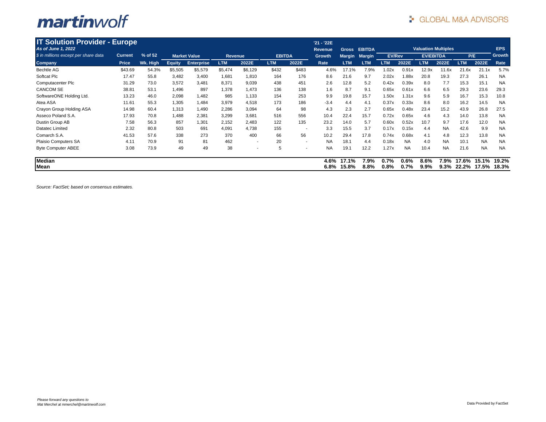| <b>IT Solution Provider - Europe</b> |                |          |               |                     |                |                          |               |                          | '21 - '22E      |                |               |               |                 |                            |              |                |                |                |
|--------------------------------------|----------------|----------|---------------|---------------------|----------------|--------------------------|---------------|--------------------------|-----------------|----------------|---------------|---------------|-----------------|----------------------------|--------------|----------------|----------------|----------------|
| As of June 1, 2022                   |                |          |               |                     |                |                          |               |                          | Revenue         | <b>Gross</b>   | <b>EBITDA</b> |               |                 | <b>Valuation Multiples</b> |              |                |                | <b>EPS</b>     |
| \$ in millions except per share data | <b>Current</b> | % of 52  |               | <b>Market Value</b> | <b>Revenue</b> |                          | <b>EBITDA</b> |                          | Growth          | <b>Margin</b>  | <b>Margin</b> | <b>EV/Rev</b> |                 | <b>EV/EBITDA</b>           |              | P/E            |                | Growth         |
| <b>Company</b>                       | Price          | Wk. High | <b>Equity</b> | <b>Enterprise</b>   | <b>LTM</b>     | 2022E                    | <b>LTM</b>    | 2022E                    | Rate            | <b>LTM</b>     | <b>LTM</b>    | <b>LTM</b>    | 2022E           | <b>LTM</b>                 | 2022E        | <b>LTM</b>     | 2022E          | Rate           |
| <b>Bechtle AG</b>                    | \$43.69        | 54.3%    | \$5,505       | \$5,579             | \$5,474        | \$6,129                  | \$432         | \$483                    | 4.6%            | 17.1%          | 7.9%          | 1.02x         | 0.91x           | 12.9x                      | 11.6x        | 21.6x          | 21.1x          | 5.7%           |
| Softcat Plc                          | 17.47          | 55.8     | 3,482         | 3,400               | 1,681          | 1,810                    | 164           | 176                      | 8.6             | 21.6           | 9.7           | 2.02x         | 1.88x           | 20.8                       | 19.3         | 27.3           | 26.1           | <b>NA</b>      |
| Computacenter Plc                    | 31.29          | 73.0     | 3,572         | 3,481               | 8,371          | 9,039                    | 438           | 451                      | 2.6             | 12.8           | 5.2           | 0.42x         | 0.39x           | 8.0                        | 7.7          | 15.3           | 15.1           | <b>NA</b>      |
| <b>CANCOM SE</b>                     | 38.81          | 53.1     | 1,496         | 897                 | 1,378          | 1,473                    | 136           | 138                      | 1.6             | 8.7            | 9.1           | 0.65x         | 0.61x           | 6.6                        | 6.5          | 29.3           | 23.6           | 29.3           |
| SoftwareONE Holding Ltd.             | 13.23          | 46.0     | 2,098         | 1,482               | 985            | 1,133                    | 154           | 253                      | 9.9             | 19.8           | 15.7          | 1.50x         | 1.31x           | 9.6                        | 5.9          | 16.7           | 15.3           | 10.8           |
| Atea ASA                             | 11.61          | 55.3     | 1,305         | 1,484               | 3,979          | 4,518                    | 173           | 186                      | $-3.4$          | 4.4            | 4.1           | 0.37x         | 0.33x           | 8.6                        | 8.0          | 16.2           | 14.5           | <b>NA</b>      |
| Crayon Group Holding ASA             | 14.98          | 60.4     | 1,313         | 1,490               | 2,286          | 3,094                    | 64            | 98                       | 4.3             | 2.3            | 2.7           | 0.65x         | 0.48x           | 23.4                       | 15.2         | 43.9           | 26.8           | 27.5           |
| Asseco Poland S.A.                   | 17.93          | 70.8     | 1,488         | 2,381               | 3,299          | 3,681                    | 516           | 556                      | 10.4            | 22.4           | 15.7          | 0.72x         | 0.65x           | 4.6                        | 4.3          | 14.0           | 13.8           | <b>NA</b>      |
| Dustin Group AB                      | 7.58           | 56.3     | 857           | 1,301               | 2,152          | 2,483                    | 122           | 135                      | 23.2            | 14.0           | 5.7           | 0.60x         | 0.52x           | 10.7                       | 9.7          | 17.6           | 12.0           | <b>NA</b>      |
| Datatec Limited                      | 2.32           | 80.8     | 503           | 691                 | 4,091          | 4,738                    | 155           | . .                      | 3.3             | 15.5           | 3.7           | 0.17x         | 0.15x           | 4.4                        | <b>NA</b>    | 42.6           | 9.9            | <b>NA</b>      |
| Comarch S.A.                         | 41.53          | 57.6     | 338           | 273                 | 370            | 400                      | 66            | 56                       | 10.2            | 29.4           | 17.8          | 0.74x         | 0.68x           | 4.1                        | 4.8          | 12.3           | 13.8           | <b>NA</b>      |
| Plaisio Computers SA                 | 4.11           | 70.9     | 91            | 81                  | 462            | $\overline{\phantom{a}}$ | 20            | $\overline{\phantom{a}}$ | <b>NA</b>       | 18.1           | 4.4           | 0.18x         | <b>NA</b>       | 4.0                        | <b>NA</b>    | 10.1           | <b>NA</b>      | <b>NA</b>      |
| <b>Byte Computer ABEE</b>            | 3.08           | 73.9     | 49            | 49                  | 38             |                          | 5             | -                        | <b>NA</b>       | 19.1           | 12.2          | 1.27x         | <b>NA</b>       | 10.4                       | <b>NA</b>    | 21.6           | <b>NA</b>      | <b>NA</b>      |
| <b>Median</b><br>Mean                |                |          |               |                     |                |                          |               |                          | 4.6%<br>$6.8\%$ | 17.1%<br>15.8% | 7.9%<br>8.8%  | 0.7%<br>0.8%  | $0.6\%$<br>0.7% | 8.6%<br>9.9%               | 7.9%<br>9.3% | 17.6%<br>22.2% | 15.1%<br>17.5% | 19.2%<br>18.3% |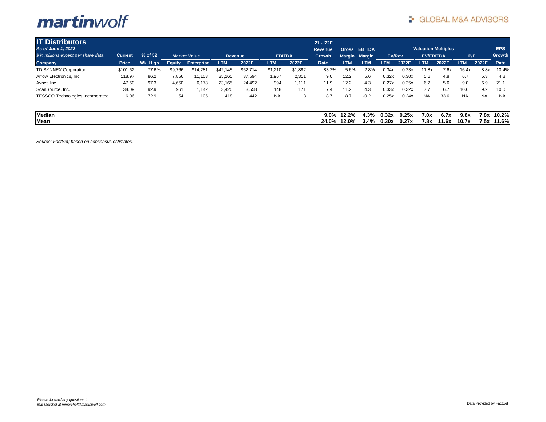| <b>IT Distributors</b>                  |          |          |               |                     |            |          |               |         | '21 - '22E       |                |               |                |                |                  |                            |               |              |                  |
|-----------------------------------------|----------|----------|---------------|---------------------|------------|----------|---------------|---------|------------------|----------------|---------------|----------------|----------------|------------------|----------------------------|---------------|--------------|------------------|
| As of June 1, 2022                      |          |          |               |                     |            |          |               |         | <b>Revenue</b>   | <b>Gross</b>   | <b>EBITDA</b> |                |                |                  | <b>Valuation Multiples</b> |               |              | EPS              |
| \$ in millions except per share data    | Current  | % of 52  |               | <b>Market Value</b> | Revenue    |          | <b>EBITDA</b> |         | Growth           |                | Margin Margin | <b>EV/Rev</b>  |                | <b>EV/EBITDA</b> |                            | P/E           |              | Growth           |
| <b>Company</b>                          | Price    | Wk. High | <b>Equity</b> | <b>Enterprise</b>   | <b>LTM</b> | 2022E    | <b>LTM</b>    | 2022E   | Rate             | <b>LTM</b>     | <b>LTM</b>    | <b>LTM</b>     | 2022E          | <b>LTM</b>       | 2022E                      | <b>LTM</b>    | 2022E        | Rate             |
| TD SYNNEX Corporation                   | \$101.62 | 77.6%    | \$9,766       | \$14.281            | \$42,145   | \$62,714 | \$1,210       | \$1,882 | 83.2%            | 5.6%           | 2.8%          | 0.34x          | 0.23x          | 11.8x            | 7.6x                       | 16.4x         | 8.8x         | 10.4%            |
| Arrow Electronics, Inc.                 | 118.97   | 86.2     | 7,856         | 11,103              | 35,165     | 37,594   | 1,967         | 2,311   | 9.0              | 12.2           | 5.6           | 0.32x          | 0.30x          | 5.6              | 4.8                        | 6.7           | 5.3          | 4.8              |
| Avnet, Inc.                             | 47.60    | 97.3     | 4,650         | 6,178               | 23,165     | 24,492   | 994           | 1,111   | 11.9             | 12.2           | 4.3           | 0.27x          | 0.25x          | 6.2              | 5.6                        | 9.0           | 6.9          | 21.1             |
| ScanSource, Inc.                        | 38.09    | 92.9     | 961           | 1,142               | 3,420      | 3,558    | 148           | 171     | 7.4              | 11.2           | 4.3           | 0.33x          | 0.32x          | 7.7              | 6.7                        | 10.6          | 9.2          | 10.0             |
| <b>TESSCO Technologies Incorporated</b> | 6.06     | 72.9     | 54            | 105                 | 418        | 442      | <b>NA</b>     | 3       | 8.7              | 18.7           | $-0.2$        | 0.25x          | 0.24x          | <b>NA</b>        | 33.6                       | <b>NA</b>     | <b>NA</b>    | <b>NA</b>        |
| <b>Median</b><br>Mean                   |          |          |               |                     |            |          |               |         | $9.0\%$<br>24.0% | 12.2%<br>12.0% | 4.3%<br>3.4%  | 0.32x<br>0.30x | 0.25x<br>0.27x | 7.0x<br>7.8x     | 6.7x<br>11.6x              | 9.8x<br>10.7x | 7.8x<br>7.5x | 10.2%l<br>11.6%l |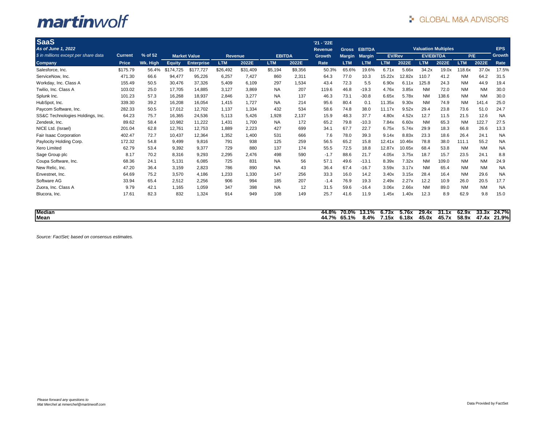| <b>SaaS</b>                          |                |          |               |                     |                |          |               |         | '21 - '22E     |               |               |               |        |                  |                            |            |           |            |
|--------------------------------------|----------------|----------|---------------|---------------------|----------------|----------|---------------|---------|----------------|---------------|---------------|---------------|--------|------------------|----------------------------|------------|-----------|------------|
| As of June 1, 2022                   |                |          |               |                     |                |          |               |         | <b>Revenue</b> | Gross         | <b>EBITDA</b> |               |        |                  | <b>Valuation Multiples</b> |            |           | <b>EPS</b> |
| \$ in millions except per share data | <b>Current</b> | % of 52  |               | <b>Market Value</b> | <b>Revenue</b> |          | <b>EBITDA</b> |         | Growth         | <b>Margin</b> | <b>Margin</b> | <b>EV/Rev</b> |        | <b>EV/EBITDA</b> |                            |            | P/E       | Growth     |
| <b>Company</b>                       | <b>Price</b>   | Wk. High | <b>Equity</b> | <b>Enterprise</b>   | <b>LTM</b>     | 2022E    | LTM           | 2022E   | Rate           | <b>LTM</b>    | <b>LTM</b>    | <b>LTM</b>    | 2022E  | <b>LTM</b>       | 2022E                      | <b>LTM</b> | 2022E     | Rate       |
| Salesforce, Inc.                     | \$175.79       | 56.4%    | \$174.725     | \$177.727           | \$26,492       | \$31,409 | \$5,194       | \$9,356 | 50.3%          | 65.6%         | 19.6%         | 6.71x         | 5.66x  | 34.2x            | 19.0x                      | 118.6x     | 37.0x     | 17.5%      |
| ServiceNow, Inc.                     | 471.30         | 66.6     | 94,477        | 95,226              | 6,257          | 7,427    | 860           | 2,311   | 64.3           | 77.0          | 10.3          | 15.22x        | 12.82x | 110.7            | 41.2                       | <b>NM</b>  | 64.2      | 31.5       |
| Workday, Inc. Class A                | 155.49         | 50.5     | 30,476        | 37,326              | 5,409          | 6,109    | 297           | 1,534   | 43.4           | 72.3          | 5.5           | 6.90x         | 6.11x  | 125.8            | 24.3                       | <b>NM</b>  | 44.9      | 19.4       |
| Twilio, Inc. Class A                 | 103.02         | 25.0     | 17,705        | 14,885              | 3,127          | 3.869    | <b>NA</b>     | 207     | 119.6          | 46.8          | $-19.3$       | 4.76x         | 3.85x  | <b>NM</b>        | 72.0                       | <b>NM</b>  | <b>NM</b> | 30.0       |
| Splunk Inc.                          | 101.23         | 57.3     | 16,268        | 18,937              | 2,846          | 3,277    | <b>NA</b>     | 137     | 46.3           | 73.1          | $-30.8$       | 6.65x         | 5.78x  | <b>NM</b>        | 138.6                      | <b>NM</b>  | <b>NM</b> | 30.0       |
| HubSpot, Inc.                        | 339.30         | 39.2     | 16,208        | 16,054              | 1,415          | 1,727    | <b>NA</b>     | 214     | 95.6           | 80.4          | 0.1           | 11.35x        | 9.30x  | <b>NM</b>        | 74.9                       | <b>NM</b>  | 141.4     | 25.0       |
| Paycom Software, Inc.                | 282.33         | 50.5     | 17,012        | 12,702              | 1.137          | 1,334    | 432           | 534     | 58.6           | 74.8          | 38.0          | 11.17x        | 9.52x  | 29.4             | 23.8                       | 73.6       | 51.0      | 24.7       |
| SS&C Technologies Holdings, Inc.     | 64.23          | 75.7     | 16,365        | 24,536              | 5,113          | 5,426    | 1,928         | 2.137   | 15.9           | 48.3          | 37.7          | 4.80x         | 4.52x  | 12.7             | 11.5                       | 21.5       | 12.6      | <b>NA</b>  |
| Zendesk, Inc.                        | 89.62          | 58.4     | 10,982        | 11,222              | 1,431          | 1,700    | <b>NA</b>     | 172     | 65.2           | 79.8          | $-10.3$       | 7.84x         | 6.60x  | <b>NM</b>        | 65.3                       | <b>NM</b>  | 122.7     | 27.5       |
| NICE Ltd. (Israel)                   | 201.04         | 62.8     | 12,761        | 12,753              | 1,889          | 2,223    | 427           | 699     | 34.1           | 67.7          | 22.7          | 6.75x         | 5.74x  | 29.9             | 18.3                       | 66.8       | 26.6      | 13.3       |
| Fair Isaac Corporation               | 402.47         | 72.7     | 10,437        | 12,364              | 1,352          | 1.400    | 531           | 666     | 7.6            | 78.0          | 39.3          | 9.14x         | 8.83x  | 23.3             | 18.6                       | 26.4       | 24.1      | <b>NA</b>  |
| Paylocity Holding Corp.              | 172.32         | 54.8     | 9,499         | 9,816               | 791            | 938      | 125           | 259     | 56.5           | 65.2          | 15.8          | 12.41x        | 10.46x | 78.8             | 38.0                       | 111.1      | 55.2      | <b>NA</b>  |
| <b>Xero Limited</b>                  | 62.79          | 53.4     | 9,392         | 9,377               | 729            | 880      | 137           | 174     | 55.5           | 72.5          | 18.8          | 12.87x        | 10.65x | 68.4             | 53.8                       | <b>NM</b>  | <b>NM</b> | <b>NA</b>  |
| Sage Group plc                       | 8.17           | 70.2     | 8.316         | 9,293               | 2,295          | 2.476    | 498           | 590     | $-1.7$         | 88.6          | 21.7          | 4.05x         | 3.75x  | 18.7             | 15.7                       | 23.5       | 24.1      | 8.8        |
| Coupa Software, Inc.                 | 68.36          | 24.1     | 5.131         | 6.085               | 725            | 831      | <b>NA</b>     | 56      | 57.1           | 49.6          | $-13.1$       | 8.39x         | 7.32x  | <b>NM</b>        | 109.0                      | <b>NM</b>  | <b>NM</b> | 24.9       |
| New Relic, Inc.                      | 47.20          | 36.4     | 3.159         | 2,823               | 786            | 890      | <b>NA</b>     | 43      | 36.4           | 67.4          | $-16.7$       | 3.59x         | 3.17x  | <b>NM</b>        | 65.4                       | <b>NM</b>  | <b>NM</b> | <b>NA</b>  |
| Envestnet, Inc.                      | 64.69          | 75.2     | 3,570         | 4,186               | 1,233          | 1,330    | 147           | 256     | 33.3           | 16.0          | 14.2          | 3.40x         | 3.15x  | 28.4             | 16.4                       | <b>NM</b>  | 29.6      | <b>NA</b>  |
| Software AG                          | 33.94          | 65.4     | 2,512         | 2,256               | 906            | 994      | 185           | 207     | $-1.4$         | 76.9          | 19.3          | 2.49x         | 2.27x  | 12.2             | 10.9                       | 26.0       | 20.5      | 17.7       |
| Zuora, Inc. Class A                  | 9.79           | 42.1     | 1.165         | 1.059               | 347            | 398      | <b>NA</b>     | 12      | 31.5           | 59.6          | $-16.4$       | 3.06x         | 2.66x  | <b>NM</b>        | 89.0                       | <b>NM</b>  | <b>NM</b> | <b>NA</b>  |
| Blucora, Inc.                        | 17.61          | 82.3     | 832           | 1.324               | 914            | 949      | 108           | 149     | 25.7           | 41.6          | 11.9          | 1.45x         | 1.40x  | 12.3             | 8.9                        | 62.9       | 9.8       | 15.0       |

| <b>Median</b> | 44.8%            | 70.0%       | 13.1% | 6.73x | 5.76x | 29.4x | <b>94 4 w</b><br>-91.IA | 62.9x | 33.3x | 24.7% |
|---------------|------------------|-------------|-------|-------|-------|-------|-------------------------|-------|-------|-------|
| Mean          | $-70$<br>- 44. . | $-106$<br>. | 8.4%  | '.15x | 6.18x | 45.0x | 45.7x                   | 58.9x | 47.4x | 21.9% |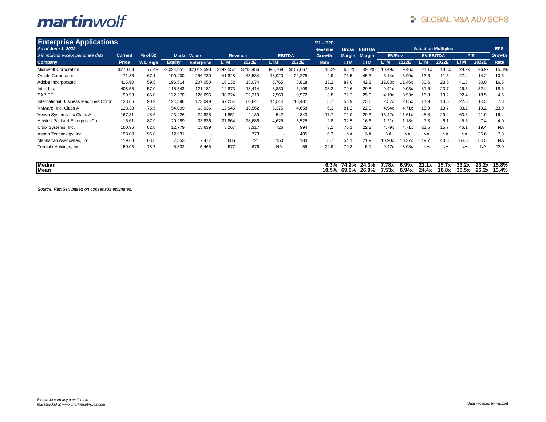| <b>Enterprise Applications</b>        |                |          |               |                     |                          |           |                          |               | '21 - '22E    |                |                |               |                |                            |                |                |                |                |
|---------------------------------------|----------------|----------|---------------|---------------------|--------------------------|-----------|--------------------------|---------------|---------------|----------------|----------------|---------------|----------------|----------------------------|----------------|----------------|----------------|----------------|
| As of June 1, 2022                    |                |          |               |                     |                          |           |                          |               | Revenue       | <b>Gross</b>   | <b>EBITDA</b>  |               |                | <b>Valuation Multiples</b> |                |                |                | <b>EPS</b>     |
| \$ in millions except per share data  | <b>Current</b> | % of 52  |               | <b>Market Value</b> |                          | Revenue   |                          | <b>EBITDA</b> | <b>Growth</b> | <b>Margin</b>  | <b>Margin</b>  | <b>EV/Rev</b> |                | <b>EV/EBITDA</b>           |                | P/E            |                | Growth         |
| <b>Company</b>                        | Price          | Wk. High | <b>Equity</b> | <b>Enterprise</b>   | <b>LTM</b>               | 2022E     | <b>LTM</b>               | 2022E         | Rate          | <b>LTM</b>     | <b>LTM</b>     | <b>LTM</b>    | 2022E          | <b>LTM</b>                 | 2022E          | <b>LTM</b>     | 2022E          | Rate           |
| <b>Microsoft Corporation</b>          | \$270.63       | 77.4%    | \$2,024,051   | \$2,019,598         | \$192,557                | \$213,456 | \$95,769                 | \$107,667     | 16.2%         | 68.7%          | 49.3%          | 10.49x        | 9.46x          | 21.1x                      | 18.8x          | 28.2x          | 26.9x          | 15.8%          |
| <b>Oracle Corporation</b>             | 71.36          | 67.1     | 190,400       | 256,730             | 41,828                   | 43,534    | 18,920                   | 22,275        | 4.9           | 76.5           | 45.3           | 6.14x         | 5.90x          | 13.6                       | 11.5           | 27.4           | 14.2           | 10.5           |
| Adobe Incorporated                    | 415.90         | 59.5     | 196,514       | 207,050             | 16,132                   | 18,074    | 6,765                    | 8,818         | 13.2          | 87.0           | 42.3           | 12.83x        | 11.46x         | 30.6                       | 23.5           | 41.3           | 30.0           | 16.5           |
| Intuit Inc.                           | 408.55         | 57.0     | 115,543       | 121,181             | 12,873                   | 13,414    | 3,830                    | 5,108         | 23.2          | 79.6           | 29.8           | 9.41x         | 9.03x          | 31.6                       | 23.7           | 46.3           | 32.4           | 18.6           |
| SAP SE                                | 99.53          | 65.0     | 122,270       | 126,696             | 30,224                   | 32,219    | 7,560                    | 9,572         | 3.8           | 72.2           | 25.0           | 4.19x         | 3.93x          | 16.8                       | 13.2           | 22.4           | 18.5           | 4.6            |
| International Business Machines Corpo | 138.86         | 90.9     | 124,896       | 173,049             | 67,254                   | 60,641    | 14,544                   | 16,481        | 5.7           | 55.9           | 23.6           | 2.57x         | 2.85x          | 11.9                       | 10.5           | 22.8           | 14.3           | 7.8            |
| VMware, Inc. Class A                  | 128.38         | 76.5     | 54,099        | 63,936              | 12,945                   | 13,562    | 3,375                    | 4,658         | 6.3           | 81.2           | 22.0           | 4.94x         | 4.71x          | 18.9                       | 13.7           | 33.2           | 19.2           | 23.0           |
| Veeva Systems Inc Class A             | 167.31         | 48.6     | 23,426        | 24,828              | 1,851                    | 2,139     | 542                      | 843           | 17.7          | 72.0           | 29.3           | 13.42x        | 11.61x         | 45.8                       | 29.4           | 63.5           | 41.9           | 16.4           |
| Hewlett Packard Enterprise Co.        | 15.61          | 87.9     | 20,289        | 33,836              | 27,864                   | 28,686    | 4,625                    | 5,525         | 2.8           | 32.5           | 16.6           | 1.21x         | 1.18x          | 7.3                        | 6.1            | 5.6            | 7.4            | 4.0            |
| Citrix Systems, Inc.                  | 100.96         | 82.8     | 12,779        | 15,639              | 3,267                    | 3,317     | 726                      | 994           | 3.1           | 76.1           | 22.2           | 4.79x         | 4.71x          | 21.5                       | 15.7           | 46.1           | 19.4           | <b>NA</b>      |
| Aspen Technology, Inc.                | 193.00         | 96.8     | 12,931        |                     | $\overline{\phantom{a}}$ | 773       | $\overline{\phantom{a}}$ | 405           | 6.3           | <b>NA</b>      | <b>NA</b>      | <b>NA</b>     | <b>NA</b>      | <b>NA</b>                  | <b>NA</b>      | <b>NA</b>      | 35.6           | 7.9            |
| Manhattan Associates, Inc.            | 119.68         | 63.5     | 7,553         | 7.477               | 686                      | 721       | 150                      | 183           | 8.7           | 54.1           | 21.9           | 10.90x        | 10.37x         | 49.7                       | 40.8           | 64.8           | 54.5           | <b>NA</b>      |
| Tenable Holdings, Inc.                | 50.03          | 78.7     | 5,532         | 5,465               | 577                      | 676       | <b>NA</b>                | 55            | 24.9          | 79.3           | $-5.1$         | 9.47x         | 8.08x          | <b>NA</b>                  | <b>NA</b>      | <b>NA</b>      | <b>NA</b>      | 22.0           |
| Median<br>Mean                        |                |          |               |                     |                          |           |                          |               | 6.3%<br>10.5% | 74.2%<br>69.6% | 24.3%<br>26.9% | 78x<br>7.53x  | 6.99x<br>6.94x | 21.1x<br>24.4x             | 15.7x<br>18.8x | 33.2x<br>36.5x | 23.2x<br>26.2x | 15.8%<br>13.4% |